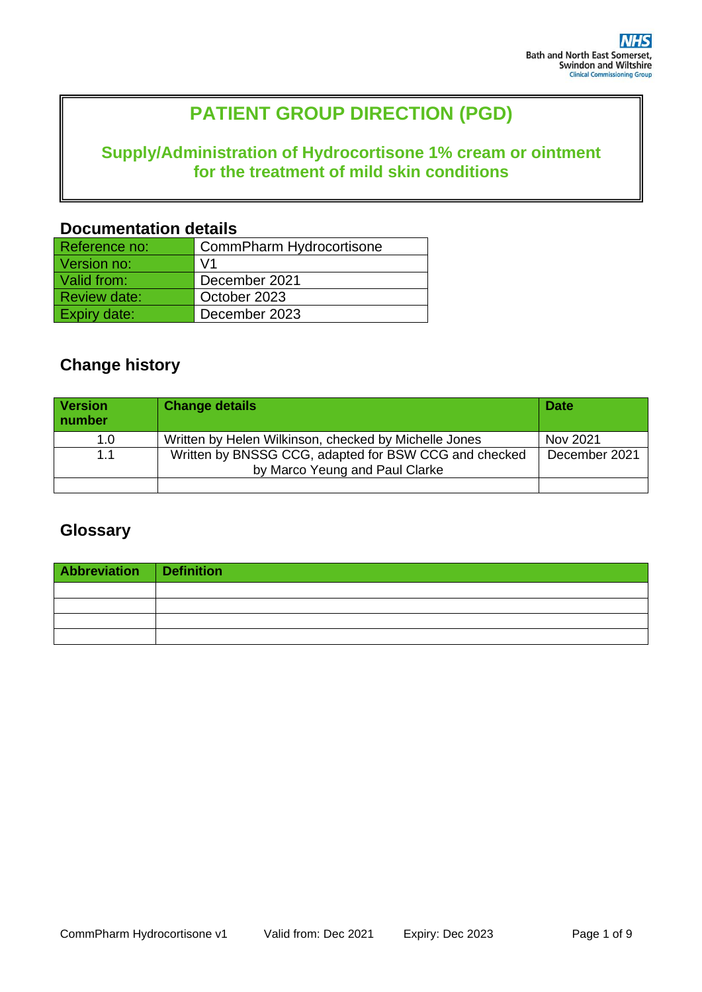# **PATIENT GROUP DIRECTION (PGD)**

## **Supply/Administration of Hydrocortisone 1% cream or ointment for the treatment of mild skin conditions**

### **Documentation details**

| Reference no:       | CommPharm Hydrocortisone |
|---------------------|--------------------------|
| Version no:         | $\sqrt{1}$               |
| Valid from:         | December 2021            |
| <b>Review date:</b> | October 2023             |
| <b>Expiry date:</b> | December 2023            |

## **Change history**

| <b>Version</b><br>number | <b>Change details</b>                                                                   | <b>Date</b>   |
|--------------------------|-----------------------------------------------------------------------------------------|---------------|
| 1.0                      | Written by Helen Wilkinson, checked by Michelle Jones                                   | Nov 2021      |
| 1.1                      | Written by BNSSG CCG, adapted for BSW CCG and checked<br>by Marco Yeung and Paul Clarke | December 2021 |
|                          |                                                                                         |               |

## **Glossary**

| Abbreviation Definition |  |
|-------------------------|--|
|                         |  |
|                         |  |
|                         |  |
|                         |  |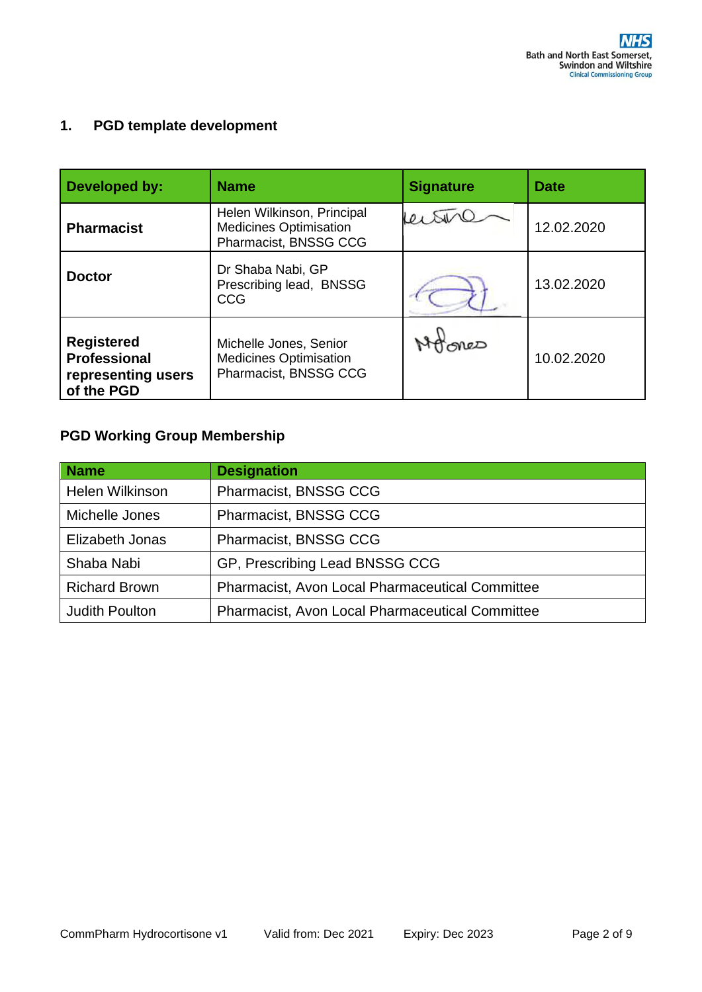### **1. PGD template development**

| Developed by:                                                                | <b>Name</b>                                                                          | <b>Signature</b> | <b>Date</b> |
|------------------------------------------------------------------------------|--------------------------------------------------------------------------------------|------------------|-------------|
| <b>Pharmacist</b>                                                            | Helen Wilkinson, Principal<br><b>Medicines Optimisation</b><br>Pharmacist, BNSSG CCG |                  | 12.02.2020  |
| <b>Doctor</b>                                                                | Dr Shaba Nabi, GP<br>Prescribing lead, BNSSG<br>CCG                                  |                  | 13.02.2020  |
| <b>Registered</b><br><b>Professional</b><br>representing users<br>of the PGD | Michelle Jones, Senior<br><b>Medicines Optimisation</b><br>Pharmacist, BNSSG CCG     | MeD              | 10.02.2020  |

## **PGD Working Group Membership**

| <b>Name</b>            | <b>Designation</b>                                     |
|------------------------|--------------------------------------------------------|
| <b>Helen Wilkinson</b> | Pharmacist, BNSSG CCG                                  |
| Michelle Jones         | Pharmacist, BNSSG CCG                                  |
| Elizabeth Jonas        | Pharmacist, BNSSG CCG                                  |
| Shaba Nabi             | GP, Prescribing Lead BNSSG CCG                         |
| <b>Richard Brown</b>   | <b>Pharmacist, Avon Local Pharmaceutical Committee</b> |
| <b>Judith Poulton</b>  | <b>Pharmacist, Avon Local Pharmaceutical Committee</b> |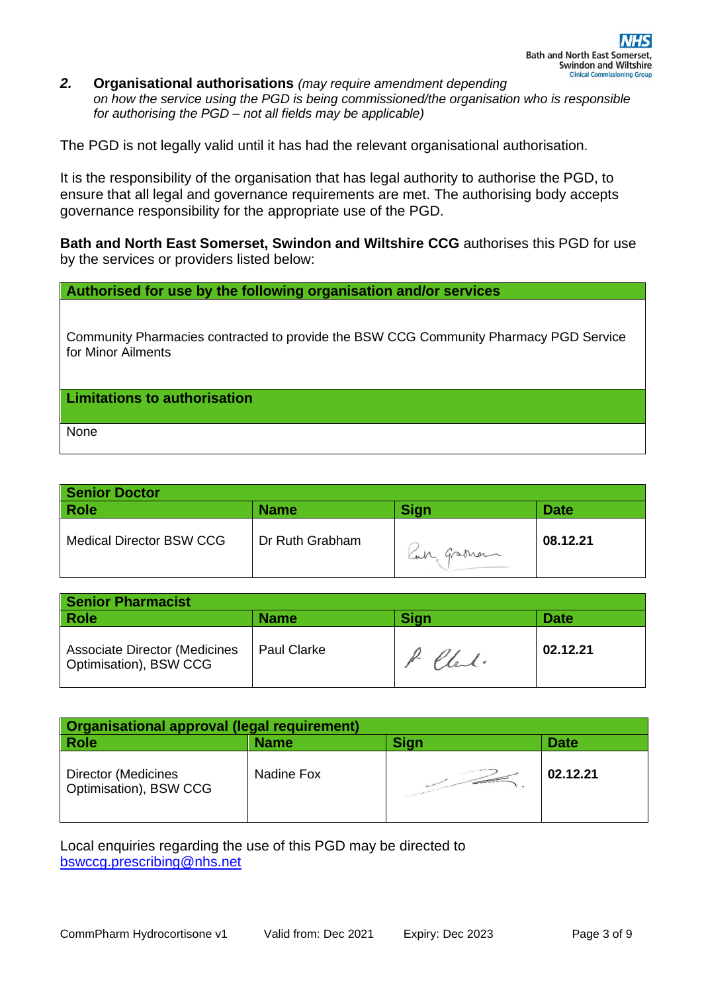*2.* **Organisational authorisations** *(may require amendment depending on how the service using the PGD is being commissioned/the organisation who is responsible for authorising the PGD – not all fields may be applicable)* 

The PGD is not legally valid until it has had the relevant organisational authorisation.

It is the responsibility of the organisation that has legal authority to authorise the PGD, to ensure that all legal and governance requirements are met. The authorising body accepts governance responsibility for the appropriate use of the PGD.

**Bath and North East Somerset, Swindon and Wiltshire CCG** authorises this PGD for use by the services or providers listed below:

**Authorised for use by the following organisation and/or services**

Community Pharmacies contracted to provide the BSW CCG Community Pharmacy PGD Service for Minor Ailments

**Limitations to authorisation**

None

| <b>Senior Doctor</b>            |                 |             |             |
|---------------------------------|-----------------|-------------|-------------|
| <b>Role</b>                     | <b>Name</b>     | <b>Sign</b> | <b>Date</b> |
| <b>Medical Director BSW CCG</b> | Dr Ruth Grabham | Can Graman  | 08.12.21    |

| <b>Senior Pharmacist</b>                                       |                    |             |             |
|----------------------------------------------------------------|--------------------|-------------|-------------|
| <b>Role</b>                                                    | <b>Name</b>        | <b>Sign</b> | <b>Date</b> |
| <b>Associate Director (Medicines</b><br>Optimisation), BSW CCG | <b>Paul Clarke</b> | P. Chal.    | 02.12.21    |

| Organisational approval (legal requirement)          |             |                   |             |
|------------------------------------------------------|-------------|-------------------|-------------|
| <b>Role</b>                                          | <b>Name</b> | <b>Sign</b>       | <b>Date</b> |
| <b>Director (Medicines</b><br>Optimisation), BSW CCG | Nadine Fox  | <b>CONTRACTOR</b> | 02.12.21    |

Local enquiries regarding the use of this PGD may be directed to [bswccg.prescribing@nhs.net](mailto:bswccg.prescribing@nhs.net)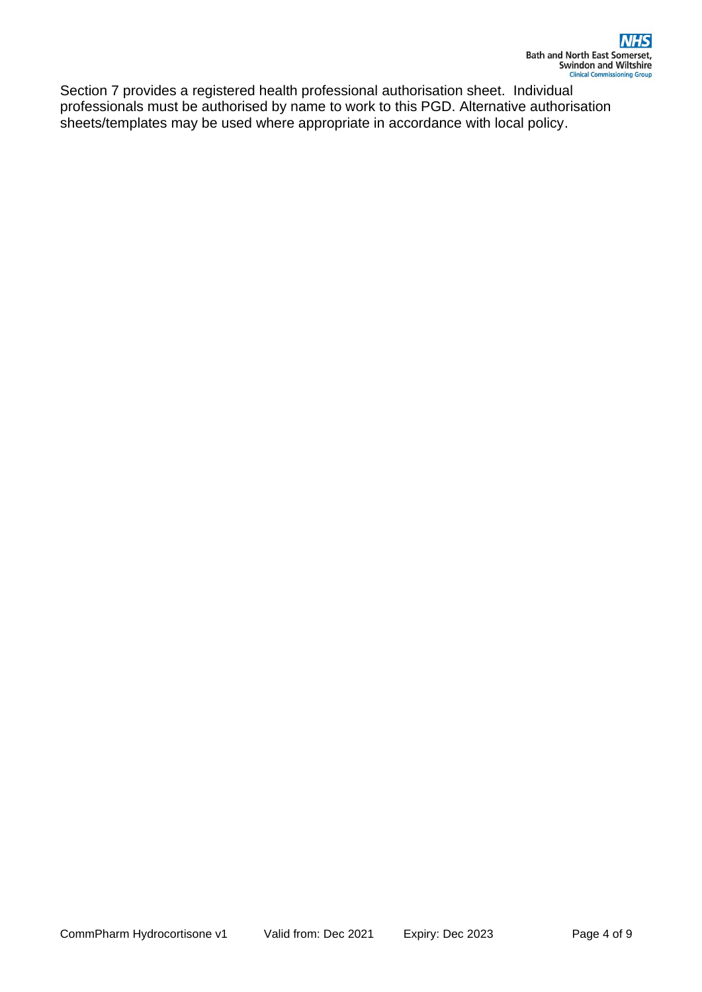Section 7 provides a registered health professional authorisation sheet. Individual professionals must be authorised by name to work to this PGD. Alternative authorisation sheets/templates may be used where appropriate in accordance with local policy.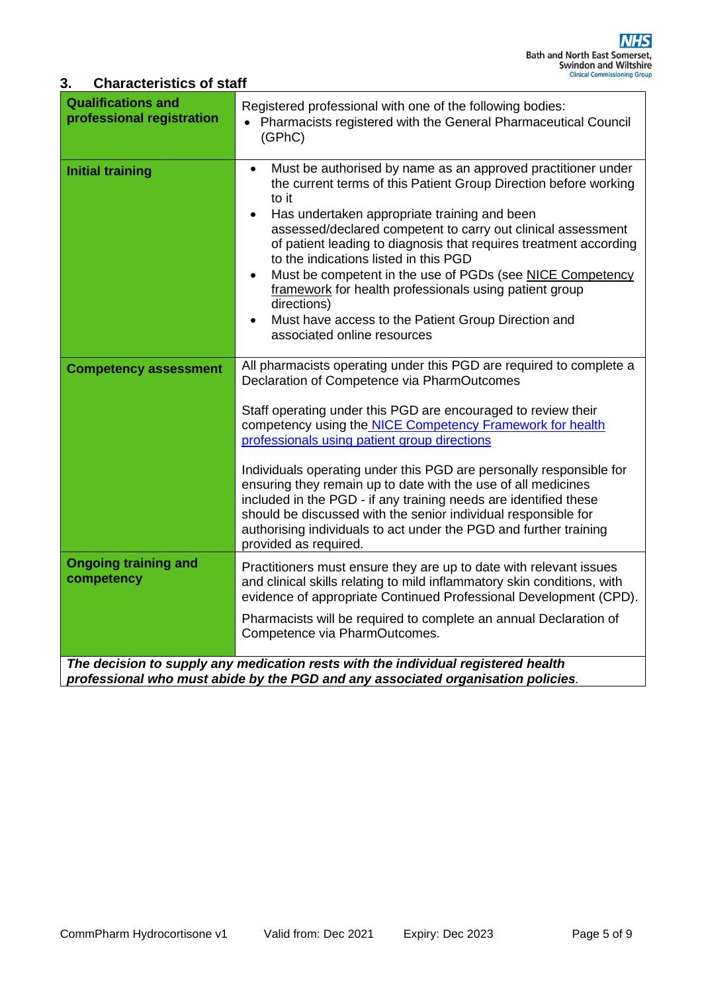### **3. Characteristics of staff**

| <b>Qualifications and</b><br>professional registration | Registered professional with one of the following bodies:<br>Pharmacists registered with the General Pharmaceutical Council<br>$\bullet$<br>(GPhC)                                                                                                                                                                                                                                                                                                                                                                                                                                                                                                                           |
|--------------------------------------------------------|------------------------------------------------------------------------------------------------------------------------------------------------------------------------------------------------------------------------------------------------------------------------------------------------------------------------------------------------------------------------------------------------------------------------------------------------------------------------------------------------------------------------------------------------------------------------------------------------------------------------------------------------------------------------------|
| <b>Initial training</b>                                | Must be authorised by name as an approved practitioner under<br>$\bullet$<br>the current terms of this Patient Group Direction before working<br>to it<br>Has undertaken appropriate training and been<br>$\bullet$<br>assessed/declared competent to carry out clinical assessment<br>of patient leading to diagnosis that requires treatment according<br>to the indications listed in this PGD<br>Must be competent in the use of PGDs (see NICE Competency<br>$\bullet$<br>framework for health professionals using patient group<br>directions)<br>Must have access to the Patient Group Direction and<br>associated online resources                                   |
| <b>Competency assessment</b>                           | All pharmacists operating under this PGD are required to complete a<br>Declaration of Competence via PharmOutcomes<br>Staff operating under this PGD are encouraged to review their<br>competency using the NICE Competency Framework for health<br>professionals using patient group directions<br>Individuals operating under this PGD are personally responsible for<br>ensuring they remain up to date with the use of all medicines<br>included in the PGD - if any training needs are identified these<br>should be discussed with the senior individual responsible for<br>authorising individuals to act under the PGD and further training<br>provided as required. |
| <b>Ongoing training and</b><br>competency              | Practitioners must ensure they are up to date with relevant issues<br>and clinical skills relating to mild inflammatory skin conditions, with<br>evidence of appropriate Continued Professional Development (CPD).<br>Pharmacists will be required to complete an annual Declaration of<br>Competence via PharmOutcomes.                                                                                                                                                                                                                                                                                                                                                     |
|                                                        | The decision to supply any medication rests with the individual registered health<br>professional who must abide by the PGD and any associated organisation policies.                                                                                                                                                                                                                                                                                                                                                                                                                                                                                                        |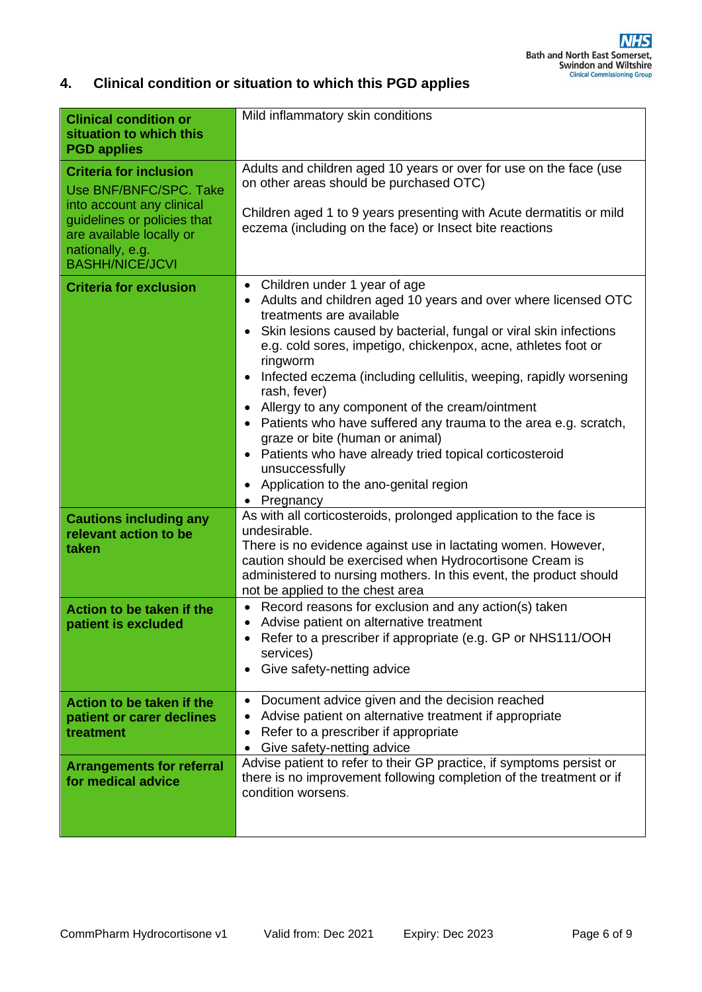### **4. Clinical condition or situation to which this PGD applies**

| <b>Clinical condition or</b>                                                                          | Mild inflammatory skin conditions                                                                                                                                 |
|-------------------------------------------------------------------------------------------------------|-------------------------------------------------------------------------------------------------------------------------------------------------------------------|
| situation to which this<br><b>PGD applies</b>                                                         |                                                                                                                                                                   |
| <b>Criteria for inclusion</b><br>Use BNF/BNFC/SPC, Take<br>into account any clinical                  | Adults and children aged 10 years or over for use on the face (use<br>on other areas should be purchased OTC)                                                     |
| guidelines or policies that<br>are available locally or<br>nationally, e.g.<br><b>BASHH/NICE/JCVI</b> | Children aged 1 to 9 years presenting with Acute dermatitis or mild<br>eczema (including on the face) or Insect bite reactions                                    |
| <b>Criteria for exclusion</b>                                                                         | Children under 1 year of age<br>$\bullet$<br>Adults and children aged 10 years and over where licensed OTC                                                        |
|                                                                                                       | treatments are available<br>• Skin lesions caused by bacterial, fungal or viral skin infections<br>e.g. cold sores, impetigo, chickenpox, acne, athletes foot or  |
|                                                                                                       | ringworm<br>Infected eczema (including cellulitis, weeping, rapidly worsening                                                                                     |
|                                                                                                       | rash, fever)<br>Allergy to any component of the cream/ointment                                                                                                    |
|                                                                                                       | Patients who have suffered any trauma to the area e.g. scratch,<br>graze or bite (human or animal)                                                                |
|                                                                                                       | Patients who have already tried topical corticosteroid<br>unsuccessfully                                                                                          |
|                                                                                                       | Application to the ano-genital region<br>• Pregnancy                                                                                                              |
| <b>Cautions including any</b><br>relevant action to be                                                | As with all corticosteroids, prolonged application to the face is<br>undesirable.                                                                                 |
| taken                                                                                                 | There is no evidence against use in lactating women. However,<br>caution should be exercised when Hydrocortisone Cream is                                         |
|                                                                                                       | administered to nursing mothers. In this event, the product should<br>not be applied to the chest area                                                            |
| Action to be taken if the<br>patient is excluded                                                      | Record reasons for exclusion and any action(s) taken<br>$\bullet$<br>Advise patient on alternative treatment                                                      |
|                                                                                                       | Refer to a prescriber if appropriate (e.g. GP or NHS111/OOH<br>services)                                                                                          |
|                                                                                                       | Give safety-netting advice                                                                                                                                        |
| Action to be taken if the<br>patient or carer declines                                                | Document advice given and the decision reached<br>$\bullet$<br>Advise patient on alternative treatment if appropriate                                             |
| treatment                                                                                             | Refer to a prescriber if appropriate<br>Give safety-netting advice                                                                                                |
| <b>Arrangements for referral</b><br>for medical advice                                                | Advise patient to refer to their GP practice, if symptoms persist or<br>there is no improvement following completion of the treatment or if<br>condition worsens. |
|                                                                                                       |                                                                                                                                                                   |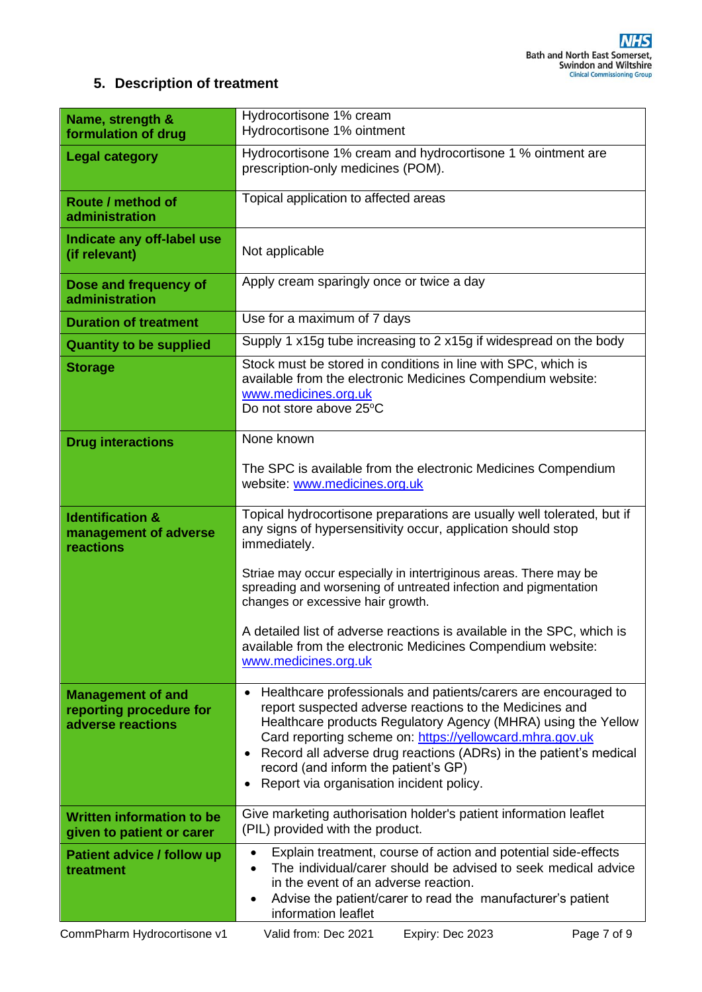### **5. Description of treatment**

| Name, strength &<br>formulation of drug                                  | Hydrocortisone 1% cream<br>Hydrocortisone 1% ointment                                                                                                                                                                                                                                                                                                                                                           |
|--------------------------------------------------------------------------|-----------------------------------------------------------------------------------------------------------------------------------------------------------------------------------------------------------------------------------------------------------------------------------------------------------------------------------------------------------------------------------------------------------------|
| <b>Legal category</b>                                                    | Hydrocortisone 1% cream and hydrocortisone 1 % ointment are<br>prescription-only medicines (POM).                                                                                                                                                                                                                                                                                                               |
| Route / method of<br>administration                                      | Topical application to affected areas                                                                                                                                                                                                                                                                                                                                                                           |
| Indicate any off-label use<br>(if relevant)                              | Not applicable                                                                                                                                                                                                                                                                                                                                                                                                  |
| Dose and frequency of<br>administration                                  | Apply cream sparingly once or twice a day                                                                                                                                                                                                                                                                                                                                                                       |
| <b>Duration of treatment</b>                                             | Use for a maximum of 7 days                                                                                                                                                                                                                                                                                                                                                                                     |
| <b>Quantity to be supplied</b>                                           | Supply 1 x15g tube increasing to 2 x15g if widespread on the body                                                                                                                                                                                                                                                                                                                                               |
| <b>Storage</b>                                                           | Stock must be stored in conditions in line with SPC, which is<br>available from the electronic Medicines Compendium website:<br>www.medicines.org.uk<br>Do not store above 25°C                                                                                                                                                                                                                                 |
| <b>Drug interactions</b>                                                 | None known                                                                                                                                                                                                                                                                                                                                                                                                      |
|                                                                          | The SPC is available from the electronic Medicines Compendium<br>website: www.medicines.org.uk                                                                                                                                                                                                                                                                                                                  |
| <b>Identification &amp;</b><br>management of adverse<br>reactions        | Topical hydrocortisone preparations are usually well tolerated, but if<br>any signs of hypersensitivity occur, application should stop<br>immediately.                                                                                                                                                                                                                                                          |
|                                                                          | Striae may occur especially in intertriginous areas. There may be<br>spreading and worsening of untreated infection and pigmentation<br>changes or excessive hair growth.                                                                                                                                                                                                                                       |
|                                                                          | A detailed list of adverse reactions is available in the SPC, which is<br>available from the electronic Medicines Compendium website:<br>www.medicines.org.uk                                                                                                                                                                                                                                                   |
| <b>Management of and</b><br>reporting procedure for<br>adverse reactions | Healthcare professionals and patients/carers are encouraged to<br>report suspected adverse reactions to the Medicines and<br>Healthcare products Regulatory Agency (MHRA) using the Yellow<br>Card reporting scheme on: https://yellowcard.mhra.gov.uk<br>Record all adverse drug reactions (ADRs) in the patient's medical<br>record (and inform the patient's GP)<br>Report via organisation incident policy. |
| <b>Written information to be</b><br>given to patient or carer            | Give marketing authorisation holder's patient information leaflet<br>(PIL) provided with the product.                                                                                                                                                                                                                                                                                                           |
| <b>Patient advice / follow up</b><br>treatment                           | Explain treatment, course of action and potential side-effects<br>$\bullet$<br>The individual/carer should be advised to seek medical advice<br>in the event of an adverse reaction.<br>Advise the patient/carer to read the manufacturer's patient<br>information leaflet                                                                                                                                      |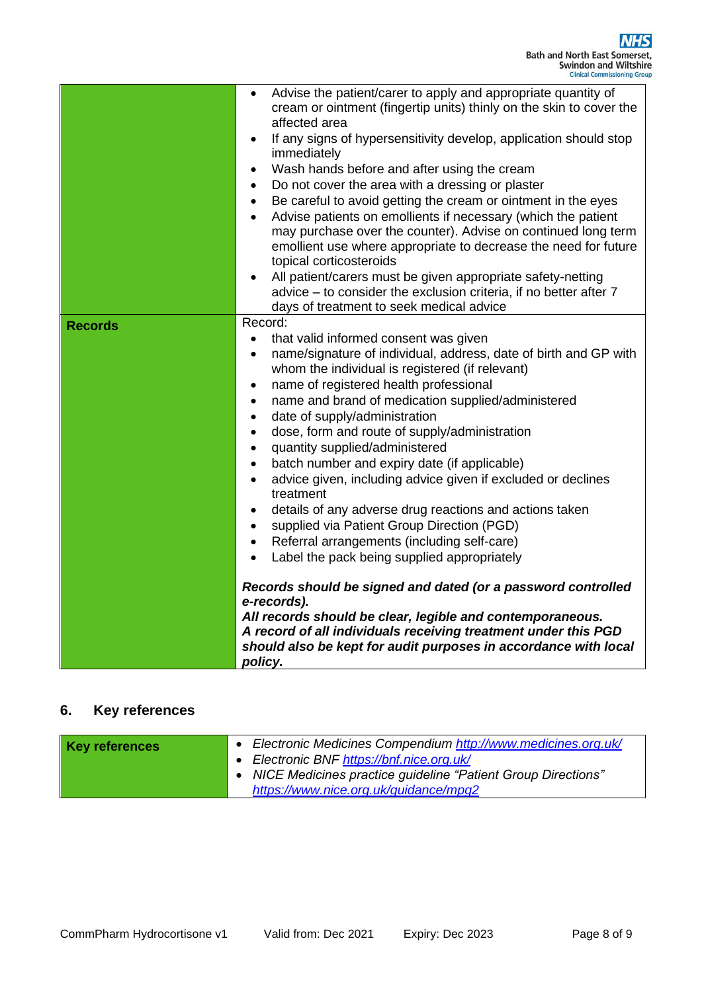|                | Advise the patient/carer to apply and appropriate quantity of<br>$\bullet$<br>cream or ointment (fingertip units) thinly on the skin to cover the<br>affected area<br>If any signs of hypersensitivity develop, application should stop<br>immediately<br>Wash hands before and after using the cream<br>$\bullet$<br>Do not cover the area with a dressing or plaster<br>Be careful to avoid getting the cream or ointment in the eyes<br>Advise patients on emollients if necessary (which the patient<br>may purchase over the counter). Advise on continued long term<br>emollient use where appropriate to decrease the need for future<br>topical corticosteroids<br>All patient/carers must be given appropriate safety-netting<br>advice - to consider the exclusion criteria, if no better after 7<br>days of treatment to seek medical advice                                                                                                                                                                                                                                                                                                                                      |
|----------------|----------------------------------------------------------------------------------------------------------------------------------------------------------------------------------------------------------------------------------------------------------------------------------------------------------------------------------------------------------------------------------------------------------------------------------------------------------------------------------------------------------------------------------------------------------------------------------------------------------------------------------------------------------------------------------------------------------------------------------------------------------------------------------------------------------------------------------------------------------------------------------------------------------------------------------------------------------------------------------------------------------------------------------------------------------------------------------------------------------------------------------------------------------------------------------------------|
| <b>Records</b> | Record:<br>that valid informed consent was given<br>$\bullet$<br>name/signature of individual, address, date of birth and GP with<br>٠<br>whom the individual is registered (if relevant)<br>name of registered health professional<br>$\bullet$<br>name and brand of medication supplied/administered<br>$\bullet$<br>date of supply/administration<br>$\bullet$<br>dose, form and route of supply/administration<br>$\bullet$<br>quantity supplied/administered<br>$\bullet$<br>batch number and expiry date (if applicable)<br>$\bullet$<br>advice given, including advice given if excluded or declines<br>$\bullet$<br>treatment<br>details of any adverse drug reactions and actions taken<br>$\bullet$<br>supplied via Patient Group Direction (PGD)<br>$\bullet$<br>Referral arrangements (including self-care)<br>$\bullet$<br>Label the pack being supplied appropriately<br>$\bullet$<br>Records should be signed and dated (or a password controlled<br>e-records).<br>All records should be clear, legible and contemporaneous.<br>A record of all individuals receiving treatment under this PGD<br>should also be kept for audit purposes in accordance with local<br>policy. |

## **6. Key references**

| <b>Key references</b> | Electronic Medicines Compendium http://www.medicines.org.uk/                                                                                     |
|-----------------------|--------------------------------------------------------------------------------------------------------------------------------------------------|
|                       | Electronic BNF https://bnf.nice.org.uk/<br>NICE Medicines practice guideline "Patient Group Directions"<br>https://www.nice.org.uk/guidance/mpg2 |